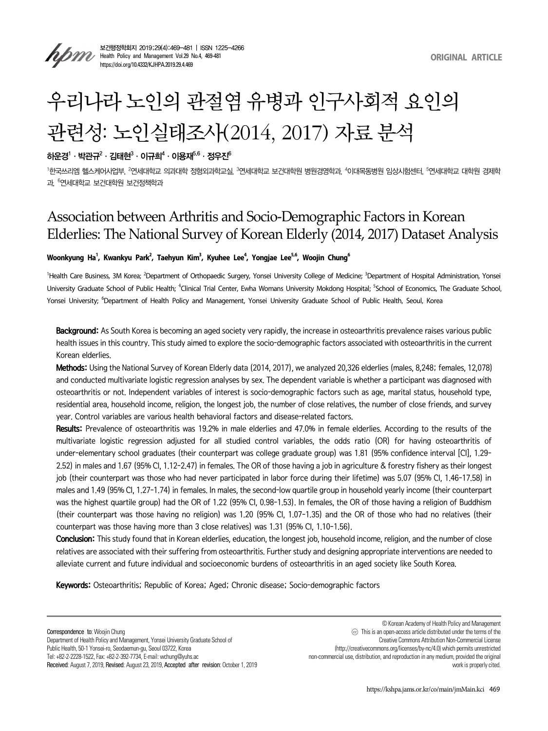

보건행정학회지 2019;29(4):469-481 | ISSN 1225-4266 **Health Policy and Management Vol.29 No.4, 469-481** https://doi.org/10.4332/KJHPA.2019.29.4.469

# 우리나라 노인의 관절염 유병과 인구사회적 요인의 관련성: 노인실태조사(2014, 2017) 자료 분석

# 하운경 $^1\cdot$ 박관규 $^2\cdot$  김태현 $^3\cdot$  이규희 $^4\cdot$  이용재 $^{5.6}\cdot$  정우진 $^6$

<sup>1</sup>한국쓰리엠 헬스케어사업부, <sup>2</sup>연세대학교 의과대학 정형외과학교실, <sup>3</sup>연세대학교 보건대학원 병원경영학과, <sup>4</sup>이대목동병원 임상시험센터, <sup>5</sup>연세대학교 대학원 경제학 과, <sup>6</sup> 연세대학교 보건대학원 보건정책학과

# Association between Arthritis and Socio-Demographic Factors in Korean Elderlies: The National Survey of Korean Elderly (2014, 2017) Dataset Analysis

### Woonkyung Ha<sup>1</sup>, Kwankyu Park<sup>2</sup>, Taehyun Kim<sup>3</sup>, Kyuhee Lee<sup>4</sup>, Yongjae Lee<sup>5,6</sup>, Woojin Chung<sup>6</sup>

<sup>1</sup>Health Care Business, 3M Korea; <sup>2</sup>Department of Orthopaedic Surgery, Yonsei University College of Medicine; <sup>3</sup>Department of Hospital Administration, Yonsei University Graduate School of Public Health; <sup>4</sup>Clinical Trial Center, Ewha Womans University Mokdong Hospital; <sup>S</sup>School of Economics, The Graduate School, Yonsei University; <sup>6</sup>Department of Health Policy and Management, Yonsei University Graduate School of Public Health, Seoul, Korea

Background: As South Korea is becoming an aged society very rapidly, the increase in osteoarthritis prevalence raises various public health issues in this country. This study aimed to explore the socio-demographic factors associated with osteoarthritis in the current Korean elderlies.

Methods: Using the National Survey of Korean Elderly data (2014, 2017), we analyzed 20,326 elderlies (males, 8,248; females, 12,078) and conducted multivariate logistic regression analyses by sex. The dependent variable is whether a participant was diagnosed with osteoarthritis or not. Independent variables of interest is socio-demographic factors such as age, marital status, household type, residential area, household income, religion, the longest job, the number of close relatives, the number of close friends, and survey year. Control variables are various health behavioral factors and disease-related factors.

Results: Prevalence of osteoarthritis was 19.2% in male elderlies and 47.0% in female elderlies. According to the results of the multivariate logistic regression adjusted for all studied control variables, the odds ratio (OR) for having osteoarthritis of under-elementary school graduates (their counterpart was college graduate group) was 1.81 (95% confidence interval [CI], 1.29– 2.52) in males and 1.67 (95% CI, 1.12–2.47) in females. The OR of those having a job in agriculture & forestry fishery as their longest job (their counterpart was those who had never participated in labor force during their lifetime) was 5.07 (95% CI, 1.46-17.58) in males and 1.49 (95% CI, 1.27–1.74) in females. In males, the second-low quartile group in household yearly income (their counterpart was the highest quartile group) had the OR of 1.22 (95% CI, 0.98–1.53). In females, the OR of those having a religion of Buddhism (their counterpart was those having no religion) was 1.20 (95% CI, 1.07–1.35) and the OR of those who had no relatives (their counterpart was those having more than 3 close relatives) was 1.31 (95% CI, 1.10–1.56).

Conclusion: This study found that in Korean elderlies, education, the longest job, household income, religion, and the number of close relatives are associated with their suffering from osteoarthritis. Further study and designing appropriate interventions are needed to alleviate current and future individual and socioeconomic burdens of osteoarthritis in an aged society like South Korea.

Keywords: Osteoarthritis; Republic of Korea; Aged; Chronic disease; Socio-demographic factors

Correspondence to: Woojin Chung Department of Health Policy and Management, Yonsei University Graduate School of Public Health, 50-1 Yonsei-ro, Seodaemun-gu, Seoul 03722, Korea Tel: +82-2-2228-1522, Fax: +82-2-392-7734, E-mail: wchung@yuhs.ac Received: August 7, 2019, Revised: August 23, 2019, Accepted after revision: October 1, 2019

© Korean Academy of Health Policy and Management ◯㏄ This is an open-access article distributed under the terms of the Creative Commons Attribution Non-Commercial License (http://creativecommons.org/licenses/by-nc/4.0) which permits unrestricted non-commercial use, distribution, and reproduction in any medium, provided the original work is properly cited.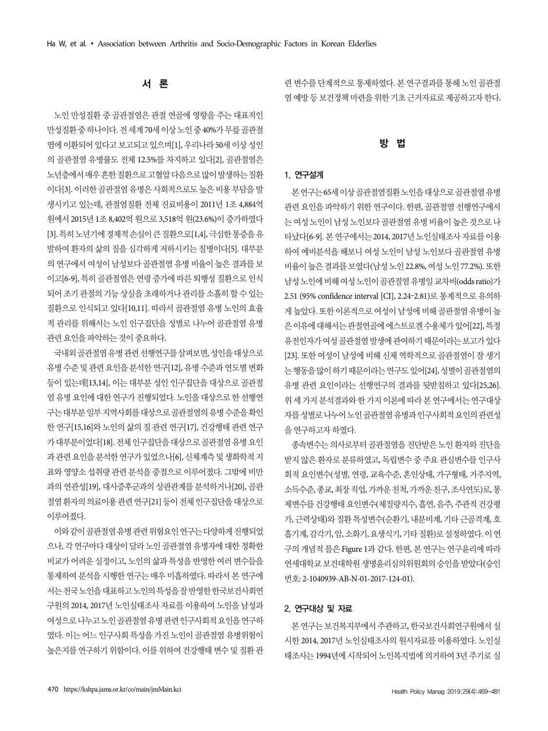# 련 변수를 단계적으로 통제하였다. 본 연구결과를 통해 노인 골관절 염 예방 등 보건정책 마련을 위한 기초 근거자료로 제공하고자 한다.

# 방 법

#### 1. 연구설계

본 연구는 65세 이상 골관절염질환 노인을 대상으로 골관절염 유병 관련 요인을 파악하기 위한 연구이다. 한편, 골관절염 선행연구에서 는 여성 노인이 남성 노인보다 골관절염 유병 비율이 높은 것으로 나 타났다[6-9]. 본 연구에서는 2014, 2017년 노인실태조사 자료를 이용 하여 예비분석을 해보니 여성 노인이 남성 노인보다 골관절염 유병 비율이 높은 결과를 보였다(남성 노인 22.8%, 여성 노인 77.2%). 또한 남성 노인에 비해 여성 노인이 골관절염 유병일 교차비(odds ratio)가 2.51 (95% confidence interval [CI], 2.24–2.81)로 통계적으로 유의하 게 높았다. 또한 이론적으로 여성이 남성에 비해 골관절염 유병이 높 은 이유에 대해서는 관절연골에 에스트로겐 수용체가 있어[22], 특정 유전인자가 여성 골관절염 발생에 관여하기 때문이라는 보고가 있다 [23]. 또한 여성이 남성에 비해 신체 역학적으로 골관절염이 잘 생기 는 행동을 많이 하기 때문이라는 연구도 있어[24], 성별이 골관절염의 유병 관련 요인이라는 선행연구의 결과를 뒷받침하고 있다[25,26]. 위 세 가지 분석결과와 한 가지 이론에 따라 본 연구에서는 연구대상 자를 성별로 나누어 노인 골관절염 유병과 인구사회적 요인의 관련성 을 연구하고자 하였다.

종속변수는 의사로부터 골관절염을 진단받은 노인 환자와 진단을 받지 않은 환자로 분류하였고, 독립변수 중 주요 관심변수를 인구사 회적 요인변수(성별, 연령, 교육수준, 혼인상태, 가구형태, 거주지역, 소득수준, 종교, 최장 직업, 가까운 친척, 가까운 친구, 조사연도)로, 통 제변수를 건강행태 요인변수(체질량지수, 흡연, 음주, 주관적 건강평 가, 근력상태)와 질환 특성변수(순환기, 내분비계, 기타 근골격계, 호 흡기계, 감각기, 암, 소화기, 요생식기, 기타 질환)로 설정하였다. 이 연 구의 개념적 틀은 Figure 1과 같다. 한편, 본 연구는 연구윤리에 따라 연세대학교 보건대학원 생명윤리심의위원회의 승인을 받았다(승인 번호: 2-1040939-AB-N-01-2017-124-01).

#### 2. 연구대상 및 자료

본 연구는 보건복지부에서 주관하고, 한국보건사회연구원에서 실 시한 2014, 2017년 노인실태조사의 원시자료를 이용하였다. 노인실 태조사는 1994년에 시작되어 노인복지법에 의거하여 3년 주기로 실

# 서 론

노인 만성질환 중 골관절염은 관절 연골에 영향을 주는 대표적인 만성질환 중 하나이다. 전 세계 70세 이상 노인 중 40%가 무릎 골관절 염에 이환되어 있다고 보고되고 있으며[1], 우리나라 50세 이상 성인 의 골관절염 유병률도 전체 12.5%를 차지하고 있다[2], 골관절염은 노년층에서 매우 흔한 질환으로 고혈압 다음으로 많이 발생하는 질환 이다[3]. 이러한 골관절염 유병은 사회적으로도 높은 비용 부담을 발 생시키고 있는데, 관절염질환 전체 진료비용이 2011년 1조 4,884억 원에서 2015년 1조 8,402억 원으로 3,518억 원(23.6%)이 증가하였다 [3]. 특히 노년기에 경제적 손실이 큰 질환으로[1,4], 극심한 통증을 유 발하여 환자의 삶의 질을 심각하게 저하시키는 질병이다[5]. 대부분 의 연구에서 여성이 남성보다 골관절염 유병 비율이 높은 결과를 보 이고[6-9], 특히 골관절염은 연령 증가에 따른 퇴행성 질환으로 인식 되어 조기 관절의 기능 상실을 초래하거나 관리를 소홀히 할 수 있는 질환으로 인식되고 있다[10,11]. 따라서 골관절염 유병 노인의 효율 적 관리를 위해서는 노인 인구집단을 성별로 나누어 골관절염 유병 관련 요인을 파악하는 것이 중요하다.

국내외 골관절염 유병 관련 선행연구를 살펴보면, 성인을 대상으로 유병 수준 및 관련 요인을 분석한 연구[12], 유병 수준과 연도별 변화 등이 있는데[13,14], 이는 대부분 성인 인구집단을 대상으로 골관절 염 유병 요인에 대한 연구가 진행되었다. 노인을 대상으로 한 선행연 구는 대부분 일부 지역사회를 대상으로 골관절염의 유병 수준을 확인 한 연구[15,16]와 노인의 삶의 질 관련 연구[17], 건강행태 관련 연구 가 대부분이었다[18]. 전체 인구집단을 대상으로 골관절염 유병 요인 과 관련 요인을 분석한 연구가 있었으나[6], 신체계측 및 생화학적 지 표와 영양소 섭취량 관련 분석을 중점으로 이루어졌다. 그밖에 비만 과의 연관성[19], 대사증후군과의 상관관계를 분석하거나[20], 골관 절염 환자의 의료이용 관련 연구[21] 등이 전체 인구집단을 대상으로 이루어졌다.

이와 같이 골관절염 유병 관련 위험요인 연구는 다양하게 진행되었 으나, 각 연구마다 대상이 달라 노인 골관절염 유병자에 대한 정확한 비교가 어려운 실정이고, 노인의 삶과 특성을 반영한 여러 변수들을 통제하여 분석을 시행한 연구는 매우 미흡하였다. 따라서 본 연구에 서는 전국 노인을 대표하고 노인의 특성을 잘 반영한 한국보건사회연 구원의 2014, 2017년 노인실태조사 자료를 이용하여 노인을 남성과 여성으로 나누고 노인 골관절염 유병 관련 인구사회적 요인을 연구하 였다. 이는 어느 인구사회 특성을 가진 노인이 골관절염 유병위험이 높은지를 연구하기 위함이다. 이를 위하여 건강행태 변수 및 질환 관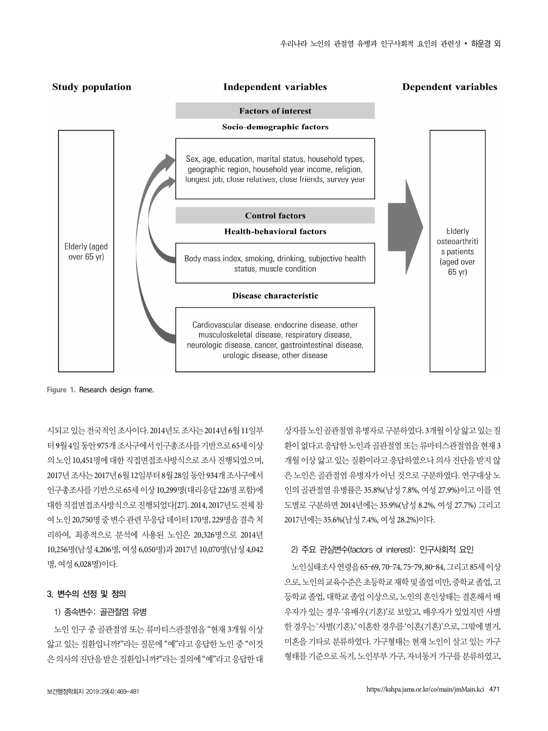

**Figure 1.** Research design frame.

시되고 있는 전국적인 조사이다. 2014년도 조사는 2014년 6월 11일부 터 9월 4일 동안 975개 조사구에서 인구총조사를 기반으로 65세 이상 의 노인 10,451명에 대한 직접면접조사방식으로 조사 진행되었으며, 2017년 조사는 2017년 6월 12일부터 8월 28일 동안 934개 조사구에서 인구총조사를 기반으로 65세 이상 10,299명(대리응답 226명 포함)에 대한 직접면접조사방식으로 진행되었다[27]. 2014, 2017년도 전체 참 여 노인 20,750명 중 변수 관련 무응답 데이터 170명, 229명을 결측 처 리하여, 최종적으로 분석에 사용된 노인은 20,326명으로 2014년 10,256명(남성 4,206명, 여성 6,050명)과 2017년 10,070명(남성 4,042 명, 여성 6,028명)이다.

#### 3. 변수의 선정 및 정의

# 1) 종속변수: 골관절염 유병

노인 인구 중 골관절염 또는 류마티스관절염을 "현재 3개월 이상 앓고 있는 질환입니까?"라는 질문에 "예"라고 응답한 노인 중 "이것 은 의사의 진단을 받은 질환입니까?"라는 질의에 "예"라고 응답한 대

상자를 노인 골관절염 유병자로 구분하였다. 3개월 이상 앓고 있는 질 환이 없다고 응답한 노인과 골관절염 또는 류마티스관절염을 현재 3 개월 이상 앓고 있는 질환이라고 응답하였으나 의사 진단을 받지 않 은 노인은 골관절염 유병자가 아닌 것으로 구분하였다. 연구대상 노 인의 골관절염 유병률은 35.8%(남성 7.8%, 여성 27.9%)이고 이를 연 도별로 구분하면 2014년에는 35.9%(남성 8.2%, 여성 27.7%) 그리고 2017년에는 35.6%(남성 7.4%, 여성 28.2%)이다.

#### 2) 주요 관심변수(factors of interest): 인구사회적 요인

노인실태조사 연령을 65–69, 70–74, 75–79, 80–84, 그리고 85세 이상 으로, 노인의 교육수준은 초등학교 재학 및 졸업 미만, 중학교 졸업, 고 등학교 졸업, 대학교 졸업 이상으로, 노인의 혼인상태는 결혼해서 배 우자가 있는 경우 '유배우(기혼)'로 보았고, 배우자가 있었지만 사별 한 경우는 '사별(기혼),' 이혼한 경우를 '이혼(기혼)'으로, 그밖에 별거, 미혼을 기타로 분류하였다. 가구형태는 현재 노인이 살고 있는 가구 형태를 기준으로 독거, 노인부부 가구, 자녀동거 가구를 분류하였고,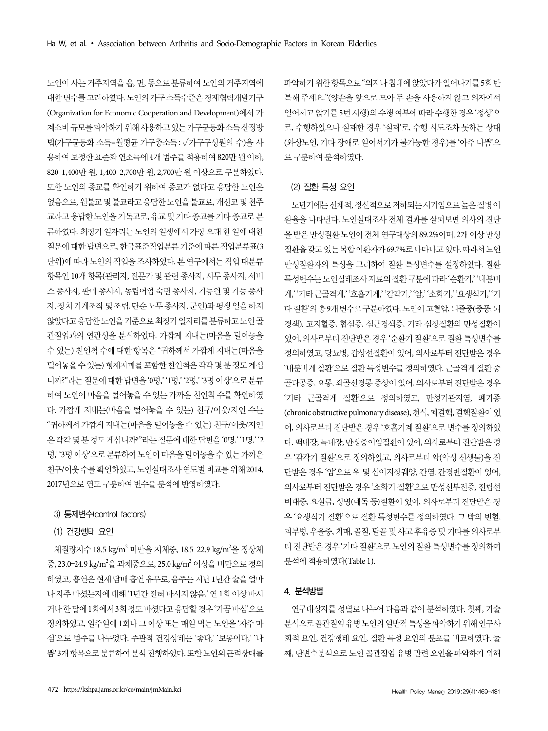노인이 사는 거주지역을 읍, 면, 동으로 분류하여 노인의 거주지역에 대한 변수를 고려하였다. 노인의 가구 소득수준은 경제협력개발기구 (Organization for Economic Cooperation and Development)에서 가 계소비 규모를 파악하기 위해 사용하고 있는 가구균등화 소득 산정방 법(가구균등화 소득=월평균 가구총소득÷√가구구성원의 수)을 사 용하여 보정한 표준화 연소득에 4개 범주를 적용하여 820만 원 이하, 820–1,400만 원, 1,400–2,700만 원, 2,700만 원 이상으로 구분하였다. 또한 노인의 종교를 확인하기 위하여 종교가 없다고 응답한 노인은 없음으로, 원불교 및 불교라고 응답한 노인을 불교로, 개신교 및 천주 교라고 응답한 노인을 기독교로, 유교 및 기타 종교를 기타 종교로 분 류하였다. 최장기 일자리는 노인의 일생에서 가장 오래 한 일에 대한 질문에 대한 답변으로, 한국표준직업분류 기준에 따른 직업분류표(3 단위)에 따라 노인의 직업을 조사하였다. 본 연구에서는 직업 대분류 항목인 10개 항목(관리자, 전문가 및 관련 종사자, 시무 종사자, 서비 스 종사자, 판매 종사자, 농림어업 숙련 종사자, 기능원 및 기능 종사 자, 장치 기계조작 및 조립, 단순 노무 종사자, 군인)과 평생 일을 하지 않았다고 응답한 노인을 기준으로 최장기 일자리를 분류하고 노인 골 관절염과의 연관성을 분석하였다. 가깝게 지내는(마음을 털어놓을 수 있는) 친인척 수에 대한 항목은 "귀하께서 가깝게 지내는(마음을 털어놓을 수 있는) 형제자매를 포함한 친인척은 각각 몇 분 정도 계십 니까?"라는 질문에 대한 답변을 '0명,' '1명,' '2명,' '3명 이상'으로 분류 하여 노인이 마음을 털어놓을 수 있는 가까운 친인척 수를 확인하였 다. 가깝게 지내는(마음을 털어놓을 수 있는) 친구/이웃/지인 수는 "귀하께서 가깝게 지내는(마음을 털어놓을 수 있는) 친구/이웃/지인 은 각각 몇 분 정도 계십니까?"라는 질문에 대한 답변을 '0명,' '1명,' '2 명,' '3명 이상'으로 분류하여 노인이 마음을 털어놓을 수 있는 가까운 친구/이웃 수를 확인하였고, 노인실태조사 연도별 비교를 위해 2014, 2017년으로 연도 구분하여 변수를 분석에 반영하였다.

#### 3) 통제변수(control factors)

#### (1) 건강행태 요인

체질량지수 18.5 kg/m<sup>2</sup> 미만을 저체중, 18.5–22.9 kg/m<sup>2</sup>을 정상체 중, 23.0−24.9 kg/m²을 과체중으로, 25.0 kg/m² 이상을 비만으로 정의 하였고, 흡연은 현재 담배 흡연 유무로, 음주는 지난 1년간 술을 얼마 나 자주 마셨는지에 대해 '1년간 전혀 마시지 않음,' 연 1회 이상 마시 거나 한 달에 1회에서 3회 정도 마셨다고 응답할 경우 '가끔 마심'으로 정의하였고, 일주일에 1회나 그 이상 또는 매일 먹는 노인을 '자주 마 심'으로 범주를 나누었다. 주관적 건강상태는 '좋다,' '보통이다,' '나 쁨' 3개 항목으로 분류하여 분석 진행하였다. 또한 노인의 근력상태를 파악하기 위한 항목으로 "의자나 침대에 앉았다가 일어나기를 5회 반 복해 주세요."(양손을 앞으로 모아 두 손을 사용하지 않고 의자에서 일어서고 앉기를 5번 시행)의 수행 여부에 따라 수행한 경우 '정상'으 로, 수행하였으나 실패한 경우 '실패'로, 수행 시도조차 못하는 상태 (와상노인, 기타 장애로 일어서기가 불가능한 경우)를 '아주 나쁨'으 로 구분하여 분석하였다.

#### (2) 질환 특성 요인

노년기에는 신체적, 정신적으로 저하되는 시기임으로 높은 질병 이 환율을 나타낸다. 노인실태조사 전체 결과를 살펴보면 의사의 진단 을 받은 만성질환 노인이 전체 연구대상의 89.2%이며, 2개 이상 만성 질환을 갖고 있는 복합 이환자가 69.7%로 나타나고 있다. 따라서 노인 만성질환자의 특성을 고려하여 질환 특성변수를 설정하였다. 질환 특성변수는 노인실태조사 자료의 질환 구분에 따라 '순환기,' '내분비 계,' '기타 근골격계,' '호흡기계,' '감각기,' '암,' '소화기,' '요생식기,' '기 타 질환'의 총 9개 변수로 구분하였다. 노인이 고혈압, 뇌졸중(중풍, 뇌 경색), 고지혈증, 협심증, 심근경색증, 기타 심장질환의 만성질환이 있어, 의사로부터 진단받은 경우 '순환기 질환'으로 질환 특성변수를 정의하였고, 당뇨병, 갑상선질환이 있어, 의사로부터 진단받은 경우 '내분비계 질환'으로 질환 특성변수를 정의하였다. 근골격계 질환 중 골다공증, 요통, 좌골신경통 증상이 있어, 의사로부터 진단받은 경우 '기타 근골격계 질환'으로 정의하였고, 만성기관지염, 폐기종 (chronic obstructive pulmonary disease), 천식, 폐결핵, 결핵질환이 있 어, 의사로부터 진단받은 경우 '호흡기계 질환'으로 변수를 정의하였 다. 백내장, 녹내장, 만성중이염질환이 있어, 의사로부터 진단받은 경 우 '감각기 질환'으로 정의하였고, 의사로부터 암(악성 신생물)을 진 단받은 경우 '암'으로 위 및 십이지장궤양, 간염, 간경변질환이 있어, 의사로부터 진단받은 경우 '소화기 질환'으로 만성신부전증, 전립선 비대증, 요실금, 성병(매독 등)질환이 있어, 의사로부터 진단받은 경 우 '요생식기 질환'으로 질환 특성변수를 정의하였다. 그 밖의 빈혈, 피부병, 우을증, 치매, 골절, 탈골 및 사고 후유증 및 기타를 의사로부 터 진단받은 경우 '기타 질환'으로 노인의 질환 특성변수를 정의하여 분석에 적용하였다(Table 1).

#### 4. 분석방법

연구대상자를 성별로 나누어 다음과 같이 분석하였다. 첫째, 기술 분석으로 골관절염 유병 노인의 일반적 특성을 파악하기 위해 인구사 회적 요인, 건강행태 요인, 질환 특성 요인의 분포를 비교하였다. 둘 째, 단변수분석으로 노인 골관절염 유병 관련 요인을 파악하기 위해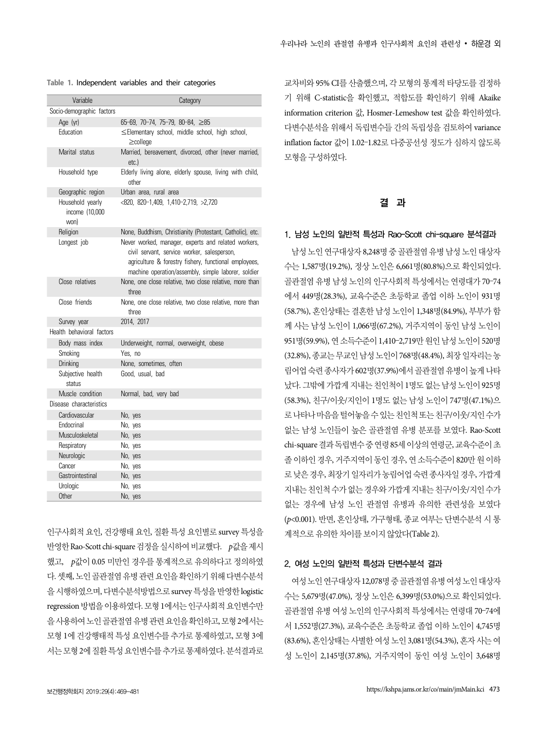| 우리나라 노인의 관절염 유병과 인구사회적 요인의 관련성 • 하운경 외 |  |  |  |  |  |  |  |  |
|----------------------------------------|--|--|--|--|--|--|--|--|
|----------------------------------------|--|--|--|--|--|--|--|--|

#### **Table 1.** Independent variables and their categories

| Variable                                   | Category                                                                                                                                                                                                           |
|--------------------------------------------|--------------------------------------------------------------------------------------------------------------------------------------------------------------------------------------------------------------------|
| Socio-demographic factors                  |                                                                                                                                                                                                                    |
| Age (yr)                                   | 65-69, 70-74, 75-79, 80-84, ≥85                                                                                                                                                                                    |
| Education                                  | ≤Elementary school, middle school, high school,<br>≥college                                                                                                                                                        |
| Marital status                             | Married, bereavement, divorced, other (never married,<br>$etc.$ )                                                                                                                                                  |
| Household type                             | Elderly living alone, elderly spouse, living with child,<br>other                                                                                                                                                  |
| Geographic region                          | Urban area, rural area                                                                                                                                                                                             |
| Household yearly<br>income (10.000<br>won) | $<$ 820, 820-1,409, 1,410-2,719, >2,720                                                                                                                                                                            |
| Religion                                   | None, Buddhism, Christianity (Protestant, Catholic), etc.                                                                                                                                                          |
| Longest job                                | Never worked, manager, experts and related workers,<br>civil servant, service worker, salesperson,<br>agriculture & forestry fishery, functional employees,<br>machine operation/assembly, simple laborer, soldier |
| Close relatives                            | None, one close relative, two close relative, more than<br>three                                                                                                                                                   |
| Close friends                              | None, one close relative, two close relative, more than<br>three                                                                                                                                                   |
| Survey year                                | 2014, 2017                                                                                                                                                                                                         |
| Health behavioral factors                  |                                                                                                                                                                                                                    |
| Body mass index                            | Underweight, normal, overweight, obese                                                                                                                                                                             |
| Smoking                                    | Yes. no                                                                                                                                                                                                            |
| <b>Drinking</b>                            | None, sometimes, often                                                                                                                                                                                             |
| Subjective health<br>status                | Good, usual, bad                                                                                                                                                                                                   |
| Muscle condition                           | Normal, bad, very bad                                                                                                                                                                                              |
| Disease characteristics                    |                                                                                                                                                                                                                    |
| Cardiovascular                             | No, yes                                                                                                                                                                                                            |
| Endocrinal                                 | No, yes                                                                                                                                                                                                            |
| Musculoskeletal                            | No, yes                                                                                                                                                                                                            |
| Respiratory                                | No, yes                                                                                                                                                                                                            |
| Neurologic                                 | No, yes                                                                                                                                                                                                            |
| Cancer                                     | No, yes                                                                                                                                                                                                            |
| Gastrointestinal                           | No, yes                                                                                                                                                                                                            |
| Urologic                                   | No, yes                                                                                                                                                                                                            |
| Other                                      | No, yes                                                                                                                                                                                                            |

인구사회적 요인, 건강행태 요인, 질환 특성 요인별로 survey 특성을 반영한 Rao-Scott chi-square 검정을 실시하여 비교했다. p값을 제시 했고, p값이 0.05 미만인 경우를 통계적으로 유의하다고 정의하였 다. 셋째, 노인 골관절염 유병 관련 요인을 확인하기 위해 다변수분석 을 시행하였으며, 다변수분석방법으로 survey 특성을 반영한 logistic regression 방법을 이용하였다. 모형 1에서는 인구사회적 요인변수만 을 사용하여 노인 골관절염 유병 관련 요인을 확인하고, 모형 2에서는 모형 1에 건강행태적 특성 요인변수를 추가로 통제하였고, 모형 3에 서는 모형 2에 질환 특성 요인변수를 추가로 통제하였다. 분석결과로

교차비와 95% CI를 산출했으며, 각 모형의 통계적 타당도를 검정하 기 위해 C-statistic을 확인했고, 적합도를 확인하기 위해 Akaike information criterion 값, Hosmer-Lemeshow test 값을 확인하였다. 다변수분석을 위해서 독립변수들 간의 독립성을 검토하여 variance inflation factor 값이 1.02–1.82로 다중공선성 정도가 심하지 않도록 모형을 구성하였다.

#### 결 과

#### 1. 남성 노인의 일반적 특성과 Rao-Scott chi-square 분석결과

남성 노인 연구대상자 8,248명 중 골관절염 유병 남성 노인 대상자 수는 1,587명(19.2%), 정상 노인은 6,661명(80.8%)으로 확인되었다. 골관절염 유병 남성 노인의 인구사회적 특성에서는 연령대가 70–74 에서 449명(28.3%), 교육수준은 초등학교 졸업 이하 노인이 931명 (58.7%), 혼인상태는 결혼한 남성 노인이 1,348명(84.9%), 부부가 함 께 사는 남성 노인이 1,066명(67.2%), 거주지역이 동인 남성 노인이 951명(59.9%), 연 소득수준이 1,410–2,719만 원인 남성 노인이 520명 (32.8%), 종교는 무교인 남성 노인이 768명(48.4%), 최장 일자리는 농 림어업 숙련 종사자가 602명(37.9%)에서 골관절염 유병이 높게 나타 났다. 그밖에 가깝게 지내는 친인척이 1명도 없는 남성 노인이 925명 (58.3%), 친구/이웃/지인이 1명도 없는 남성 노인이 747명(47.1%)으 로 나타나 마음을 털어놓을 수 있는 친인척 또는 친구/이웃/지인 수가 없는 남성 노인들이 높은 골관절염 유병 분포를 보였다. Rao-Scott chi-square 결과 독립변수 중 연령 85세 이상의 연령군, 교육수준이 초 졸 이하인 경우, 거주지역이 동인 경우, 연 소득수준이 820만 원 이하 로 낮은 경우, 최장기 일자리가 농림어업 숙련 종사자일 경우, 가깝게 지내는 친인척 수가 없는 경우와 가깝게 지내는 친구/이웃/지인 수가 없는 경우에 남성 노인 관절염 유병과 유의한 관련성을 보였다 (p<0.001). 반면, 혼인상태, 가구형태, 종교 여부는 단변수분석 시 통 계적으로 유의한 차이를 보이지 않았다(Table 2).

#### 2. 여성 노인의 일반적 특성과 단변수분석 결과

여성 노인 연구대상자 12,078명 중 골관절염 유병 여성 노인 대상자 수는 5,679명(47.0%), 정상 노인은 6,399명(53.0%)으로 확인되었다. 골관절염 유병 여성 노인의 인구사회적 특성에서는 연령대 70–74에 서 1,552명(27.3%), 교육수준은 초등학교 졸업 이하 노인이 4,745명 (83.6%), 혼인상태는 사별한 여성 노인 3,081명(54.3%), 혼자 사는 여 성 노인이 2,145명(37.8%), 거주지역이 동인 여성 노인이 3,648명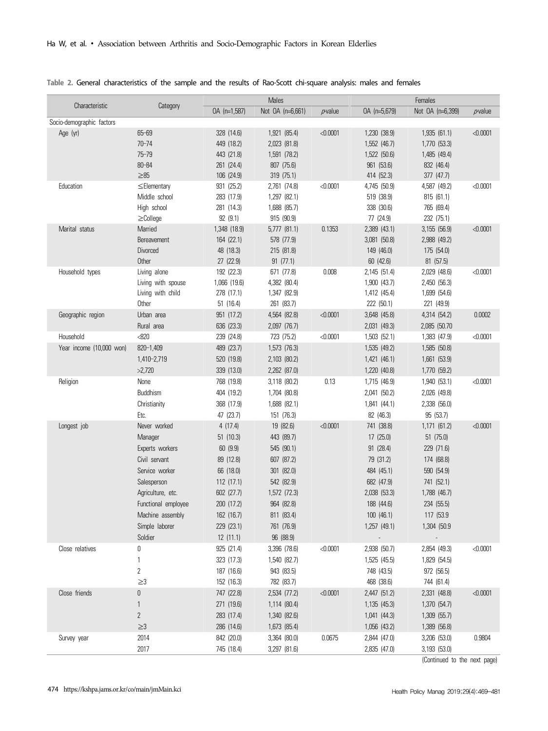|                           |                     |              | Males            |               |                          | Females                  |            |
|---------------------------|---------------------|--------------|------------------|---------------|--------------------------|--------------------------|------------|
| Characteristic            | Category            | OA (n=1,587) | Not OA (n=6,661) | $\rho$ -value | OA (n=5,679)             | Not OA (n=6,399)         | $p$ -value |
| Socio-demographic factors |                     |              |                  |               |                          |                          |            |
| Age (yr)                  | $65 - 69$           | 328 (14.6)   | 1,921 (85.4)     | < 0.0001      | 1,230 (38.9)             | 1,935 (61.1)             | < 0.0001   |
|                           | $70 - 74$           | 449 (18.2)   | 2,023 (81.8)     |               | 1,552 (46.7)             | 1,770 (53.3)             |            |
|                           | $75 - 79$           | 443 (21.8)   | 1,591 (78.2)     |               | 1,522 (50.6)             | 1,485 (49.4)             |            |
|                           | $80 - 84$           | 261 (24.4)   | 807 (75.6)       |               | 961 (53.6)               | 832 (46.4)               |            |
|                           | $\geq 85$           | 106 (24.9)   | 319 (75.1)       |               | 414 (52.3)               | 377 (47.7)               |            |
| Education                 | ≤Elementary         | 931 (25.2)   | 2,761 (74.8)     | < 0.0001      | 4,745 (50.9)             | 4,587 (49.2)             | < 0.0001   |
|                           | Middle school       | 283 (17.9)   | 1,297 (82.1)     |               | 519 (38.9)               | 815 (61.1)               |            |
|                           | High school         | 281 (14.3)   | 1,688 (85.7)     |               | 338 (30.6)               | 765 (69.4)               |            |
|                           | $\geq$ College      | 92 (9.1)     | 915 (90.9)       |               | 77 (24.9)                | 232 (75.1)               |            |
| Marital status            | Married             | 1,348 (18.9) | $5,777$ $(81.1)$ | 0.1353        | 2,389 (43.1)             | 3,155 (56.9)             | < 0.0001   |
|                           | Bereavement         | 164 (22.1)   | 578 (77.9)       |               | 3,081 (50.8)             | 2,988 (49.2)             |            |
|                           | Divorced            | 48 (18.3)    | 215 (81.8)       |               | 149 (46.0)               | 175 (54.0)               |            |
|                           | Other               | 27 (22.9)    | 91(77.1)         |               | 60 (42.6)                | 81 (57.5)                |            |
| Household types           | Living alone        | 192 (22.3)   | 671 (77.8)       | 0.008         | 2,145 (51.4)             | 2,029 (48.6)             | < 0.0001   |
|                           | Living with spouse  | 1,066 (19.6) | 4,382 (80.4)     |               | 1,900 (43.7)             | 2,450 (56.3)             |            |
|                           | Living with child   | 278 (17.1)   | 1,347 (82.9)     |               | 1,412 (45.4)             | 1,699 (54.6)             |            |
|                           | Other               | 51(16.4)     | 261 (83.7)       |               | 222 (50.1)               | 221 (49.9)               |            |
| Geographic region         | Urban area          | 951 (17.2)   | 4,564 (82.8)     | < 0.0001      | 3,648 (45.8)             | 4,314 (54.2)             | 0.0002     |
|                           | Rural area          | 636 (23.3)   | 2,097 (76.7)     |               | 2,031 (49.3)             | 2,085 (50.70             |            |
| Household                 | < 820               | 239 (24.8)   | 723 (75.2)       | < 0.0001      | 1,503 (52.1)             | 1,383 (47.9)             | < 0.0001   |
| Year income (10,000 won)  | 820-1,409           | 489 (23.7)   | 1,573 (76.3)     |               | 1,535 (49.2)             | 1,585 (50.8)             |            |
|                           | 1,410-2,719         | 520 (19.8)   | 2,103 (80.2)     |               | 1,421 (46.1)             | 1,661 (53.9)             |            |
|                           | >2,720              | 339 (13.0)   | 2,262 (87.0)     |               | 1,220 (40.8)             | 1,770 (59.2)             |            |
| Religion                  | None                | 768 (19.8)   | 3,118 (80.2)     | 0.13          | 1,715 (46.9)             | 1,940 (53.1)             | < 0.0001   |
|                           | <b>Buddhism</b>     | 404 (19.2)   | 1,704 (80.8)     |               | 2,041 (50.2)             | 2,026 (49.8)             |            |
|                           | Christianity        | 368 (17.9)   | 1,688 (82.1)     |               | 1,841 (44.1)             | 2,338 (56.0)             |            |
|                           | Etc.                | 47 (23.7)    | 151 (76.3)       |               | 82 (46.3)                | 95 (53.7)                |            |
| Longest job               | Never worked        | 4(17.4)      | 19 (82.6)        | < 0.0001      | 741 (38.8)               | 1,171 (61.2)             | < 0.0001   |
|                           | Manager             | 51(10.3)     | 443 (89.7)       |               | 17 (25.0)                | 51(75.0)                 |            |
|                           | Experts workers     | 60 (9.9)     | 545 (90.1)       |               | 91 (28.4)                | 229 (71.6)               |            |
|                           | Civil servant       | 89 (12.8)    | 607 (87.2)       |               | 79 (31.2)                | 174 (68.8)               |            |
|                           | Service worker      | 66 (18.0)    | 301 (82.0)       |               | 484 (45.1)               | 590 (54.9)               |            |
|                           | Salesperson         | 112(17.1)    | 542 (82.9)       |               | 682 (47.9)               | 741 (52.1)               |            |
|                           | Agriculture, etc.   | 602 (27.7)   | 1,572 (72.3)     |               | 2,038 (53.3)             | 1,788 (46.7)             |            |
|                           | Functional employee | 200 (17.2)   | 964 (82.8)       |               | 188 (44.6)               | 234 (55.5)               |            |
|                           | Machine assembly    | 162 (16.7)   | 811 (83.4)       |               | 100 (46.1)               | 117 (53.9                |            |
|                           | Simple laborer      | 229 (23.1)   | 761 (76.9)       |               | 1,257 (49.1)             | 1,304 (50.9              |            |
|                           | Soldier             | 12(11.1)     | 96 (88.9)        |               | $\overline{\phantom{a}}$ | $\overline{\phantom{a}}$ |            |
| Close relatives           | 0                   | 925 (21.4)   | 3,396 (78.6)     | < 0.0001      | 2,938 (50.7)             | 2,854 (49.3)             | < 0.0001   |
|                           | $\mathbf{1}$        | 323 (17.3)   | 1,540 (82.7)     |               | 1,525 (45.5)             | 1,829 (54.5)             |            |
|                           | $\overline{c}$      | 187 (16.6)   | 943 (83.5)       |               | 748 (43.5)               | 972 (56.5)               |            |
|                           | $\geq$ 3            | 152 (16.3)   | 782 (83.7)       |               | 468 (38.6)               | 744 (61.4)               |            |
| Close friends             | 0                   | 747 (22.8)   | 2,534 (77.2)     | < 0.0001      | 2,447 (51.2)             | 2,331 (48.8)             | < 0.0001   |
|                           | $\mathbf{1}$        | 271 (19.6)   | 1,114 (80.4)     |               | 1,135 (45.3)             | 1,370 (54.7)             |            |
|                           | $\overline{c}$      | 283 (17.4)   | 1,340 (82.6)     |               | 1,041 (44.3)             | 1,309 (55.7)             |            |
|                           | $\geq$ 3            | 286 (14.6)   | 1,673 (85.4)     |               | 1,056 (43.2)             | 1,389 (56.8)             |            |
| Survey year               | 2014                | 842 (20.0)   | 3,364 (80.0)     | 0.0675        | 2,844 (47.0)             | 3,206 (53.0)             | 0.9804     |
|                           | 2017                | 745 (18.4)   | 3,297 (81.6)     |               | 2,835 (47.0)             | 3,193 (53.0)             |            |

#### **Table 2.** General characteristics of the sample and the results of Rao-Scott chi-square analysis: males and females

(Continued to the next page)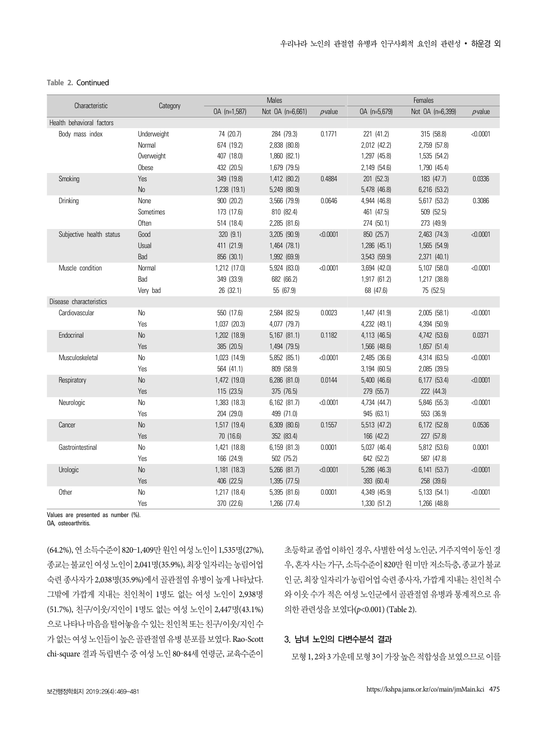#### **Table 2.** Continued

|                           |                |              | <b>Males</b>     |              | Females          |                  |               |
|---------------------------|----------------|--------------|------------------|--------------|------------------|------------------|---------------|
| Characteristic            | Category       | OA (n=1,587) | Not OA (n=6,661) | $\rho$ value | OA (n=5,679)     | Not OA (n=6,399) | $\rho$ -value |
| Health behavioral factors |                |              |                  |              |                  |                  |               |
| Body mass index           | Underweight    | 74 (20.7)    | 284 (79.3)       | 0.1771       | 221 (41.2)       | 315 (58.8)       | < 0.0001      |
|                           | Normal         | 674 (19.2)   | 2,838 (80.8)     |              | 2,012 (42.2)     | 2,759 (57.8)     |               |
|                           | Overweight     | 407 (18.0)   | 1,860 (82.1)     |              | 1,297 (45.8)     | 1,535 (54.2)     |               |
|                           | Obese          | 432 (20.5)   | 1,679 (79.5)     |              | 2,149 (54.6)     | 1,790 (45.4)     |               |
| Smoking                   | Yes            | 349 (19.8)   | 1,412 (80.2)     | 0.4884       | 201 (52.3)       | 183 (47.7)       | 0.0336        |
|                           | N <sub>o</sub> | 1,238 (19.1) | 5,249 (80.9)     |              | 5,478 (46.8)     | 6,216 (53.2)     |               |
| Drinking                  | None           | 900 (20.2)   | 3,566 (79.9)     | 0.0646       | 4,944 (46.8)     | 5,617 (53.2)     | 0.3086        |
|                           | Sometimes      | 173 (17.6)   | 810 (82.4)       |              | 461 (47.5)       | 509 (52.5)       |               |
|                           | <b>Often</b>   | 514 (18.4)   | 2,285 (81.6)     |              | 274 (50.1)       | 273 (49.9)       |               |
| Subjective health status  | Good           | 320 (9.1)    | 3,205 (90.9)     | < 0.0001     | 850 (25.7)       | 2,463 (74.3)     | < 0.0001      |
|                           | Usual          | 411 (21.9)   | 1,464 (78.1)     |              | 1,286 (45.1)     | 1,565 (54.9)     |               |
|                           | Bad            | 856 (30.1)   | 1,992 (69.9)     |              | 3,543 (59.9)     | 2,371 (40.1)     |               |
| Muscle condition          | Normal         | 1,212 (17.0) | 5,924 (83.0)     | < 0.0001     | 3,694 (42.0)     | 5,107 (58.0)     | < 0.0001      |
|                           | Bad            | 349 (33.9)   | 682 (66.2)       |              | 1,917 (61.2)     | 1,217 (38.8)     |               |
|                           | Very bad       | 26 (32.1)    | 55 (67.9)        |              | 68 (47.6)        | 75 (52.5)        |               |
| Disease characteristics   |                |              |                  |              |                  |                  |               |
| Cardiovascular            | No             | 550 (17.6)   | 2,584 (82.5)     | 0.0023       | 1,447 (41.9)     | 2,005 (58.1)     | < 0.0001      |
|                           | Yes            | 1,037 (20.3) | 4,077 (79.7)     |              | 4,232 (49.1)     | 4,394 (50.9)     |               |
| Endocrinal                | No             | 1,202 (18.9) | $5,167$ $(81.1)$ | 0.1182       | 4,113 (46.5)     | 4,742 (53.6)     | 0.0371        |
|                           | Yes            | 385 (20.5)   | 1,494 (79.5)     |              | 1,566 (48.6)     | 1,657 (51.4)     |               |
| Musculoskeletal           | No             | 1,023 (14.9) | 5,852 (85.1)     | < 0.0001     | 2,485 (36.6)     | 4,314 (63.5)     | < 0.0001      |
|                           | Yes            | 564 (41.1)   | 809 (58.9)       |              | 3,194 (60.5)     | 2,085 (39.5)     |               |
| Respiratory               | No             | 1,472 (19.0) | 6,286 (81.0)     | 0.0144       | $5,400$ $(46.6)$ | 6,177 (53.4)     | < 0.0001      |
|                           | Yes            | 115 (23.5)   | 375 (76.5)       |              | 279 (55.7)       | 222 (44.3)       |               |
| Neurologic                | No             | 1,383 (18.3) | 6,162 (81.7)     | < 0.0001     | 4,734 (44.7)     | 5,846 (55.3)     | < 0.0001      |
|                           | Yes            | 204 (29.0)   | 499 (71.0)       |              | 945 (63.1)       | 553 (36.9)       |               |
| Cancer                    | No             | 1,517 (19.4) | 6,309 (80.6)     | 0.1557       | 5,513 (47.2)     | 6,172 (52.8)     | 0.0536        |
|                           | Yes            | 70 (16.6)    | 352 (83.4)       |              | 166 (42.2)       | 227 (57.8)       |               |
| Gastrointestinal          | No             | 1,421 (18.8) | 6,159 (81.3)     | 0.0001       | 5,037 (46.4)     | 5,812 (53.6)     | 0.0001        |
|                           | Yes            | 166 (24.9)   | 502 (75.2)       |              | 642 (52.2)       | 587 (47.8)       |               |
| Urologic                  | No             | 1,181 (18.3) | 5,266 (81.7)     | < 0.0001     | 5,286 (46.3)     | 6,141 (53.7)     | < 0.0001      |
|                           | Yes            | 406 (22.5)   | 1,395 (77.5)     |              | 393 (60.4)       | 258 (39.6)       |               |
| Other                     | No             | 1,217 (18.4) | 5,395 (81.6)     | 0.0001       | 4,349 (45.9)     | 5,133 (54.1)     | < 0.0001      |
|                           | Yes            | 370 (22.6)   | 1,266 (77.4)     |              | 1,330 (51.2)     | 1,266 (48.8)     |               |

Values are presented as number (%).

OA, osteoarthritis.

(64.2%), 연 소득수준이 820–1,409만 원인 여성 노인이 1,535명(27%), 종교는 불교인 여성 노인이 2,041명(35.9%), 최장 일자리는 농림어업 숙련 종사자가 2,038명(35.9%)에서 골관절염 유병이 높게 나타났다. 그밖에 가깝게 지내는 친인척이 1명도 없는 여성 노인이 2,938명 (51.7%), 친구/이웃/지인이 1명도 없는 여성 노인이 2,447명(43.1%) 으로 나타나 마음을 털어놓을 수 있는 친인척 또는 친구/이웃/지인 수 가 없는 여성 노인들이 높은 골관절염 유병 분포를 보였다. Rao-Scott chi-square 결과 독립변수 중 여성 노인 80–84세 연령군, 교육수준이

초등학교 졸업 이하인 경우, 사별한 여성 노인군, 거주지역이 동인 경 우, 혼자 사는 가구, 소득수준이 820만 원 미만 저소득층, 종교가 불교 인 군, 최장 일자리가 농림어업 숙련 종사자, 가깝게 지내는 친인척 수 와 이웃 수가 적은 여성 노인군에서 골관절염 유병과 통계적으로 유 의한 관련성을 보였다(p<0.001) (Table 2).

# 3. 남녀 노인의 다변수분석 결과

모형 1, 2와 3 가운데 모형 3이 가장 높은 적합성을 보였으므로 이를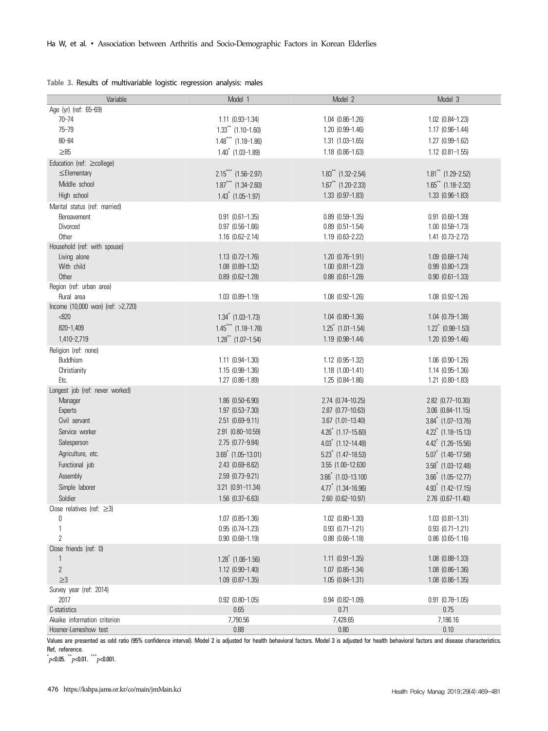|  |  | Table 3. Results of multivariable logistic regression analysis: males |  |  |
|--|--|-----------------------------------------------------------------------|--|--|
|  |  |                                                                       |  |  |

| Variable                               | Model 1                              | Model 2                             | Model 3                              |
|----------------------------------------|--------------------------------------|-------------------------------------|--------------------------------------|
| Age (yr) (ref: 65-69)                  |                                      |                                     |                                      |
| $70 - 74$                              | $1.11$ $(0.93 - 1.34)$               | $1.04$ $(0.86-1.26)$                | $1.02$ $(0.84-1.23)$                 |
| $75 - 79$                              | $1.33$ <sup>**</sup> $(1.10 - 1.60)$ | 1.20 (0.99-1.46)                    | 1.17 (0.96-1.44)                     |
| $80 - 84$                              | $1.48$ *** (1.18-1.86)               | $1.31$ $(1.03 - 1.65)$              | 1.27 (0.99-1.62)                     |
| $\geq 85$                              | $1.40^*$ (1.03-1.89)                 | $1.18$ $(0.86-1.63)$                | $1.12$ $(0.81 - 1.55)$               |
| Education (ref: ≥college)              |                                      |                                     |                                      |
| $\leq$ Elementary                      | $2.15***$ (1.56-2.97)                | $1.83$ <sup>**</sup> (1.32-2.54)    | $1.81$ <sup>**</sup> (1.29-2.52)     |
| Middle school                          | $1.87***$ (1.34-2.60)                | $1.67$ <sup>**</sup> (1.20-2.33)    | $1.65$ <sup>**</sup> (1.18-2.32)     |
| High school                            | $1.43$ $(1.05-1.97)$                 | $1.33$ $(0.97-1.83)$                | 1.33 (0.96-1.83)                     |
| Marital status (ref: married)          |                                      |                                     |                                      |
| Bereavement                            | $0.91$ $(0.61-1.35)$                 | $0.89$ $(0.59-1.35)$                | $0.91$ $(0.60 - 1.39)$               |
| Divorced                               | $0.97$ $(0.56-1.66)$                 | $0.89$ $(0.51-1.54)$                | $1.00$ $(0.58-1.73)$                 |
| Other                                  | $1.16$ $(0.62 - 2.14)$               | $1.19$ $(0.63 - 2.22)$              | 1.41 (0.73-2.72)                     |
| Household (ref: with spouse)           |                                      |                                     |                                      |
| Living alone                           | $1.13$ $(0.72 - 1.76)$               | $1.20$ $(0.76-1.91)$                | $1.09$ $(0.68-1.74)$                 |
| With child                             | 1.08 (0.89-1.32)                     | $1.00$ $(0.81 - 1.23)$              | $0.99$ $(0.80-1.23)$                 |
| Other                                  | $0.89$ $(0.62 - 1.28)$               | $0.88$ $(0.61-1.28)$                | $0.90$ $(0.61 - 1.33)$               |
| Region (ref: urban area)<br>Rural area | $1.03$ $(0.89 - 1.19)$               | $1.08$ $(0.92 - 1.26)$              | $1.08$ $(0.92 - 1.26)$               |
| Income (10,000 won) (ref: >2,720)      |                                      |                                     |                                      |
| < 820                                  | $1.34$ <sup>*</sup> (1.03-1.73)      | $1.04$ $(0.80-1.36)$                | 1.04 (0.79-1.38)                     |
| 820-1,409                              | $1.45***$ (1.18-1.78)                | $1.25$ <sup>*</sup> $(1.01 - 1.54)$ | $1.22$ <sup>*</sup> (0.98-1.53)      |
| 1,410-2,719                            | $1.28$ <sup>**</sup> (1.07-1.54)     | 1.19 (0.98-1.44)                    | 1.20 (0.99-1.46)                     |
| Religion (ref: none)                   |                                      |                                     |                                      |
| Buddhism                               | $1.11$ $(0.94 - 1.30)$               | 1.12 (0.95-1.32)                    | $1.06$ $(0.90-1.26)$                 |
| Christianity                           | $1.15(0.98-1.36)$                    | $1.18$ $(1.00-1.41)$                | 1.14 (0.95-1.36)                     |
| Etc.                                   | $1.27$ $(0.86 - 1.89)$               | 1.25 (0.84-1.86)                    | 1.21 (0.80-1.83)                     |
| Longest job (ref: never worked)        |                                      |                                     |                                      |
| Manager                                | 1.86 (0.50-6.90)                     | 2.74 (0.74-10.25)                   | 2.82 (0.77-10.30)                    |
| Experts                                | 1.97 (0.53-7.30)                     | 2.87 (0.77-10.63)                   | $3.06$ $(0.84 - 11.15)$              |
| Civil servant                          | 2.51 (0.69-9.11)                     | 3.67 (1.01-13.40)                   | $3.84$ <sup>*</sup> (1.07-13.76)     |
| Service worker                         | 2.91 (0.80-10.59)                    | $4.26$ <sup>*</sup> $(1.17-15.60)$  | $4.22$ <sup>*</sup> (1.18-15.13)     |
| Salesperson                            | 2.75 (0.77-9.84)                     | $4.03$ <sup>*</sup> (1.12-14.48)    | $4.42$ <sup>*</sup> (1.26-15.56)     |
| Agriculture, etc.                      | $3.69$ <sup>*</sup> (1.05-13.01)     | $5.23$ (1.47-18.53)                 | $5.07$ <sup>*</sup> (1.46-17.58)     |
| Functional job                         | 2.43 (0.69-8.62)                     | 3.55 (1.00-12.630                   | $3.58^*$ (1.03-12.48)                |
| Assembly                               | 2.59 (0.73-9.21)                     | $3.66$ $(1.03 - 13.100)$            | $3.66$ <sup>*</sup> $(1.05 - 12.77)$ |
| Simple laborer                         | 3.21 (0.91-11.34)                    | $4.77$ (1.34-16.96)                 | $4.93$ <sup>*</sup> $(1.42 - 17.15)$ |
| Soldier                                | 1.56 (0.37-6.63)                     | 2.60 (0.62-10.97)                   | 2.76 (0.67-11.40)                    |
| Close relatives (ref: $\geq 3$ )       |                                      |                                     |                                      |
| 0                                      | $1.07$ $(0.85 - 1.36)$               | $1.02$ $(0.80 - 1.30)$              | $1.03$ $(0.81 - 1.31)$               |
| 1                                      | $0.95$ $(0.74-1.23)$                 | $0.93$ $(0.71 - 1.21)$              | $0.93$ $(0.71 - 1.21)$               |
| $\overline{2}$                         | $0.90$ $(0.68 - 1.19)$               | $0.88$ $(0.66-1.18)$                | $0.86$ $(0.65-1.16)$                 |
| Close friends (ref: 0)                 |                                      |                                     |                                      |
| 1                                      | $1.28$ $(1.06-1.56)$                 | $1.11$ (0.91-1.35)                  | $1.08$ $(0.88-1.33)$                 |
| $\mathbf{2}$                           | $1.12$ $(0.90 - 1.40)$               | $1.07$ $(0.85-1.34)$                | $1.08$ $(0.86-1.36)$                 |
| $\geq$ 3                               | 1.09 (0.87-1.35)                     | $1.05$ $(0.84 - 1.31)$              | $1.08$ $(0.86 - 1.35)$               |
| Survey year (ref: 2014)                |                                      |                                     |                                      |
| 2017                                   | $0.92$ $(0.80 - 1.05)$               | $0.94$ $(0.82 - 1.09)$              | $0.91$ $(0.78 - 1.05)$               |
| C-statistics                           | 0.65                                 | 0.71                                | 0.75                                 |
| Akaike information criterion           | 7,790.56                             | 7,428.65                            | 7,186.16                             |
| Hosmer-Lemeshow test                   | 0.88                                 | 0.80                                | 0.10                                 |

Values are presented as odd ratio (95% confidence interval). Model 2 is adjusted for health behavioral factors and disease characteristics. Ref, reference.

 $p$  < 0.05.  $p$  < 0.01.  $p$  = 0.001.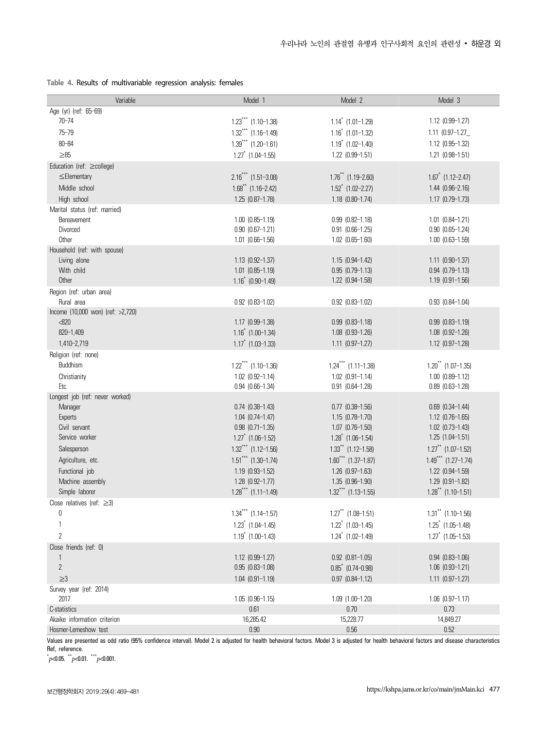|  |  |  | Table 4. Results of multivariable regression analysis: females |  |  |  |
|--|--|--|----------------------------------------------------------------|--|--|--|
|--|--|--|----------------------------------------------------------------|--|--|--|

| Variable                                | Model 1                             | Model 2                              | Model 3                              |
|-----------------------------------------|-------------------------------------|--------------------------------------|--------------------------------------|
| Age (yr) (ref: 65-69)                   |                                     |                                      |                                      |
| $70 - 74$                               | $1.23***$ (1.10-1.38)               | $1.14$ <sup>*</sup> $(1.01 - 1.29)$  | 1.12 (0.99-1.27)                     |
| $75 - 79$                               | $1.32***$ (1.16-1.49)               | $1.16^*$ (1.01-1.32)                 | $1.11$ (0.97-1.27                    |
| $80 - 84$                               | $1.39***$ (1.20-1.61)               | $1.19$ <sup>*</sup> $(1.02 - 1.40)$  | 1.12 (0.95-1.32)                     |
| $\geq 85$                               | $1.27$ <sup>*</sup> (1.04-1.55)     | 1.22 (0.99-1.51)                     | $1.21$ $(0.98-1.51)$                 |
| Education (ref: ≥college)               |                                     |                                      |                                      |
| $\leq$ Elementary                       | $2.16***$ (1.51-3.08)               | $1.76$ <sup>**</sup> $(1.19 - 2.60)$ | $1.67$ $(1.12 - 2.47)$               |
| Middle school                           | $1.68$ <sup>**</sup> (1.16-2.42)    | $1.52$ <sup>*</sup> $(1.02 - 2.27)$  | $1.44$ $(0.96 - 2.16)$               |
| High school                             | $1.25$ $(0.87-1.78)$                | $1.18$ $(0.80-1.74)$                 | $1.17$ $(0.79-1.73)$                 |
| Marital status (ref: married)           |                                     |                                      |                                      |
| Bereavement                             | $1.00$ $(0.85-1.19)$                | $0.99$ $(0.82 - 1.18)$               | $1.01$ $(0.84 - 1.21)$               |
| Divorced                                | $0.90$ $(0.67-1.21)$                | $0.91$ $(0.66-1.25)$                 | $0.90$ $(0.65-1.24)$                 |
| Other                                   | $1.01$ $(0.66-1.56)$                | $1.02$ $(0.65-1.60)$                 | $1.00$ $(0.63 - 1.59)$               |
| Household (ref: with spouse)            |                                     |                                      |                                      |
| Living alone                            | $1.13$ $(0.92 - 1.37)$              | $1.15$ $(0.94-1.42)$                 | $1.11$ $(0.90-1.37)$                 |
| With child                              | $1.01$ $(0.85-1.19)$                | $0.95$ $(0.79-1.13)$                 | $0.94$ $(0.79-1.13)$                 |
| Other                                   | $1.16$ <sup>*</sup> (0.90-1.49)     | 1.22 (0.94-1.58)                     | $1.19$ $(0.91-1.56)$                 |
| Region (ref: urban area)                |                                     |                                      |                                      |
| Rural area                              | $0.92$ $(0.83 - 1.02)$              | $0.92$ $(0.83 - 1.02)$               | $0.93$ $(0.84 - 1.04)$               |
| Income (10,000 won) (ref: >2,720)       |                                     |                                      |                                      |
| <820                                    | 1.17 (0.99-1.38)                    | $0.99$ $(0.83 - 1.18)$               | $0.99$ $(0.83 - 1.19)$               |
| 820-1,409                               | $1.16^*$ (1.00-1.34)                | 1.08 (0.93-1.26)                     | $1.08$ $(0.92-1.26)$                 |
| 1,410-2,719                             | $1.17$ <sup>*</sup> (1.03-1.33)     | $1.11$ $(0.97-1.27)$                 | 1.12 (0.97-1.28)                     |
| Religion (ref: none)                    |                                     |                                      |                                      |
| Buddhism                                | $1.22$ *** (1.10-1.36)              | $1.24***$ (1.11-1.38)                | $1.20$ <sup>**</sup> $(1.07 - 1.35)$ |
| Christianity                            | $1.02$ $(0.92 - 1.14)$              | $1.02$ $(0.91-1.14)$                 | $1.00$ $(0.89 - 1.12)$               |
| Etc.<br>Longest job (ref: never worked) | $0.94$ $(0.66-1.34)$                | $0.91$ $(0.64-1.28)$                 | $0.89$ $(0.63 - 1.28)$               |
| Manager                                 | $0.74$ $(0.38-1.43)$                | $0.77$ $(0.38-1.56)$                 | $0.69$ $(0.34-1.44)$                 |
| Experts                                 | $1.04$ $(0.74-1.47)$                | $1.15$ $(0.78-1.70)$                 | $1.12$ $(0.76-1.65)$                 |
| Civil servant                           | $0.98$ $(0.71 - 1.35)$              | $1.07$ $(0.76-1.50)$                 | $1.02$ $(0.73-1.43)$                 |
| Service worker                          | $1.27$ (1.06-1.52)                  | $1.28$ $(1.06-1.54)$                 | $1.25$ $(1.04-1.51)$                 |
| Salesperson                             | $1.32***$ (1.12-1.56)               | $1.33$ <sup>**</sup> (1.12-1.58)     | $1.27$ <sup>**</sup> (1.07-1.52)     |
| Agriculture, etc.                       | $1.51$ *** (1.30-1.74)              | $1.60^{***}$ (1.37-1.87)             | $1.49$ <sup>***</sup> (1.27-1.74)    |
| Functional job                          | $1.19$ $(0.93 - 1.52)$              | $1.26$ $(0.97-1.63)$                 | $1.22$ $(0.94-1.59)$                 |
| Machine assembly                        | $1.28$ $(0.92 - 1.77)$              | $1.35(0.96-1.90)$                    | $1.29$ $(0.91-1.82)$                 |
| Simple laborer                          | $1.28***$ (1.11-1.49)               | $1.32***$ (1.13-1.55)                | $1.28$ <sup>**</sup> (1.10-1.51)     |
| Close relatives (ref: $\geq$ 3)         |                                     |                                      |                                      |
| 0                                       | $1.34***$ (1.14-1.57)               | $1.27$ <sup>**</sup> (1.08-1.51)     | $1.31$ <sup>**</sup> (1.10-1.56)     |
| 1                                       | $1.23$ <sup>*</sup> $(1.04 - 1.45)$ | $1.22$ <sup>*</sup> $(1.03 - 1.45)$  | $1.25$ $(1.05-1.48)$                 |
| $\overline{2}$                          | $1.19$ <sup>*</sup> $(1.00 - 1.43)$ | $1.24$ $(1.02 - 1.49)$               | $1.27$ (1.05-1.53)                   |
| Close friends (ref: 0)                  |                                     |                                      |                                      |
| 1                                       | $1.12$ $(0.99 - 1.27)$              | $0.92$ $(0.81 - 1.05)$               | $0.94$ $(0.83 - 1.06)$               |
| $\overline{2}$                          | $0.95$ $(0.83 - 1.08)$              | $0.85$ $(0.74 - 0.98)$               | $1.06$ $(0.93 - 1.21)$               |
| $\geq$ 3                                | $1.04$ $(0.91 - 1.19)$              | $0.97$ $(0.84 - 1.12)$               | $1.11$ $(0.97-1.27)$                 |
| Survey year (ref: 2014)                 |                                     |                                      |                                      |
| 2017                                    | $1.05$ $(0.96 - 1.15)$              | $1.09$ $(1.00-1.20)$                 | $1.06$ $(0.97-1.17)$                 |
| C-statistics                            | 0.61                                | 0.70                                 | 0.73                                 |
| Akaike information criterion            | 16,285.42                           | 15,228.77                            | 14,849.27                            |
| Hosmer-Lemeshow test                    | 0.90                                | $0.56\,$                             | 0.52                                 |

Values are presented as odd ratio (95% confidence interval). Model 2 is adjusted for health behavioral factors. Model 3 is adjusted for health behavioral factors and disease characteristics Ref, reference.

 $p$  < 0.05.  $p$  < 0.01.  $p$  = 0.001.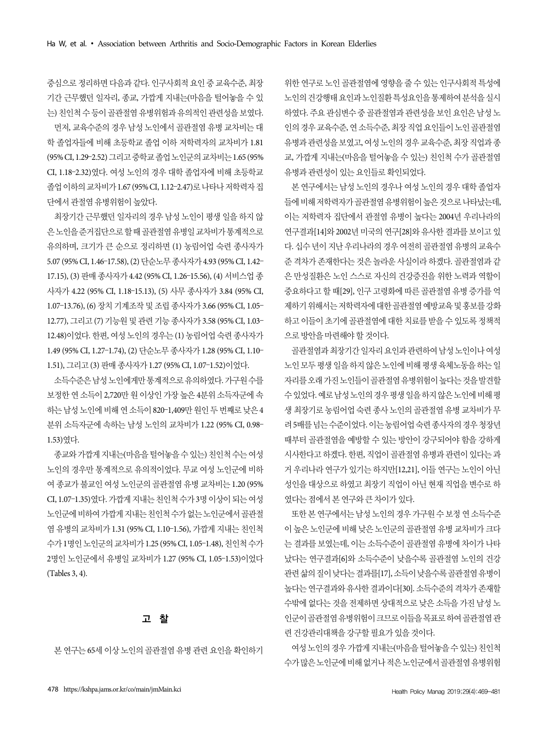중심으로 정리하면 다음과 같다. 인구사회적 요인 중 교육수준, 최장 기간 근무했던 일자리, 종교, 가깝게 지내는(마음을 털어놓을 수 있 는) 친인척 수 등이 골관절염 유병위험과 유의적인 관련성을 보였다.

먼저, 교육수준의 경우 남성 노인에서 골관절염 유병 교차비는 대 학 졸업자들에 비해 초등학교 졸업 이하 저학력자의 교차비가 1.81 (95% CI, 1.29–2.52) 그리고 중학교 졸업 노인군의 교차비는 1.65 (95% CI, 1.18–2.32)였다. 여성 노인의 경우 대학 졸업자에 비해 초등학교 졸업 이하의 교차비가 1.67 (95% CI, 1.12–2.47)로 나타나 저학력자 집 단에서 관절염 유병위험이 높았다.

최장기간 근무했던 일자리의 경우 남성 노인이 평생 일을 하지 않 은 노인을 준거집단으로 할 때 골관절염 유병일 교차비가 통계적으로 유의하며, 크기가 큰 순으로 정리하면 (1) 농림어업 숙련 종사자가 5.07 (95% CI, 1.46–17.58), (2) 단순노무 종사자가 4.93 (95% CI, 1.42– 17.15), (3) 판매 종사자가 4.42 (95% CI, 1.26–15.56), (4) 서비스업 종 사자가 4.22 (95% CI, 1.18–15.13), (5) 사무 종사자가 3.84 (95% CI, 1.07–13.76), (6) 장치 기계조작 및 조립 종사자가 3.66 (95% CI, 1.05– 12.77), 그리고 (7) 기능원 및 관련 기능 종사자가 3.58 (95% CI, 1.03– 12.48)이었다. 한편, 여성 노인의 경우는 (1) 농림어업 숙련 종사자가 1.49 (95% CI, 1.27–1.74), (2) 단순노무 종사자가 1.28 (95% CI, 1.10– 1.51), 그리고 (3) 판매 종사자가 1.27 (95% CI, 1.07–1.52)이었다.

소득수준은 남성 노인에게만 통계적으로 유의하였다. 가구원 수를 보정한 연 소득이 2,720만 원 이상인 가장 높은 4분위 소득자군에 속 하는 남성 노인에 비해 연 소득이 820–1,409만 원인 두 번째로 낮은 4 분위 소득자군에 속하는 남성 노인의 교차비가 1.22 (95% CI, 0.98– 1.53)였다.

종교와 가깝게 지내는(마음을 털어놓을 수 있는) 친인척 수는 여성 노인의 경우만 통계적으로 유의적이었다. 무교 여성 노인군에 비하 여 종교가 불교인 여성 노인군의 골관절염 유병 교차비는 1.20 (95% CI, 1.07–1.35)였다. 가깝게 지내는 친인척 수가 3명 이상이 되는 여성 노인군에 비하여 가깝게 지내는 친인척 수가 없는 노인군에서 골관절 염 유병의 교차비가 1.31 (95% CI, 1.10–1.56), 가깝게 지내는 친인척 수가 1명인 노인군의 교차비가 1.25 (95% CI, 1.05–1.48), 친인척 수가 2명인 노인군에서 유병일 교차비가 1.27 (95% CI, 1.05–1.53)이었다 (Tables 3, 4).

# 고 찰

본 연구는 65세 이상 노인의 골관절염 유병 관련 요인을 확인하기

위한 연구로 노인 골관절염에 영향을 줄 수 있는 인구사회적 특성에 노인의 건강행태 요인과 노인질환 특성요인을 통제하여 분석을 실시 하였다. 주요 관심변수 중 골관절염과 관련성을 보인 요인은 남성 노 인의 경우 교육수준, 연 소득수준, 최장 직업 요인들이 노인 골관절염 유병과 관련성을 보였고, 여성 노인의 경우 교육수준, 최장 직업과 종 교, 가깝게 지내는(마음을 털어놓을 수 있는) 친인척 수가 골관절염 유병과 관련성이 있는 요인들로 확인되었다.

본 연구에서는 남성 노인의 경우나 여성 노인의 경우 대학 졸업자 들에 비해 저학력자가 골관절염 유병위험이 높은 것으로 나타났는데, 이는 저학력자 집단에서 관절염 유병이 높다는 2004년 우리나라의 연구결과[14]와 2002년 미국의 연구[28]와 유사한 결과를 보이고 있 다. 십수 년이 지난 우리나라의 경우 여전히 골관절염 유병의 교육수 준 격차가 존재한다는 것은 놀라운 사실이라 하겠다. 골관절염과 같 은 만성질환은 노인 스스로 자신의 건강증진을 위한 노력과 역할이 중요하다고 할 때[29], 인구 고령화에 따른 골관절염 유병 증가를 억 제하기 위해서는 저학력자에 대한 골관절염 예방교육 및 홍보를 강화 하고 이들이 초기에 골관절염에 대한 치료를 받을 수 있도록 정책적 으로 방안을 마련해야 할 것이다.

골관절염과 최장기간 일자리 요인과 관련하여 남성 노인이나 여성 노인 모두 평생 일을 하지 않은 노인에 비해 평생 육체노동을 하는 일 자리를 오래 가진 노인들이 골관절염 유병위험이 높다는 것을 발견할 수 있었다. 예로 남성 노인의 경우 평생 일을 하지 않은 노인에 비해 평 생 최장기로 농림어업 숙련 종사 노인의 골관절염 유병 교차비가 무 려 5배를 넘는 수준이었다. 이는 농림어업 숙련 종사자의 경우 청장년 때부터 골관절염을 예방할 수 있는 방안이 강구되어야 함을 강하게 시사한다고 하겠다. 한편, 직업이 골관절염 유병과 관련이 있다는 과 거 우리나라 연구가 있기는 하지만[12,21], 이들 연구는 노인이 아닌 성인을 대상으로 하였고 최장기 직업이 아닌 현재 직업을 변수로 하 였다는 점에서 본 연구와 큰 차이가 있다.

또한 본 연구에서는 남성 노인의 경우 가구원 수 보정 연 소득수준 이 높은 노인군에 비해 낮은 노인군의 골관절염 유병 교차비가 크다 는 결과를 보였는데, 이는 소득수준이 골관절염 유병에 차이가 나타 났다는 연구결과[6]와 소득수준이 낮을수록 골관절염 노인의 건강 관련 삶의 질이 낮다는 결과를[17], 소득이 낮을수록 골관절염 유병이 높다는 연구결과와 유사한 결과이다[30]. 소득수준의 격차가 존재할 수밖에 없다는 것을 전제하면 상대적으로 낮은 소득을 가진 남성 노 인군이 골관절염 유병위험이 크므로 이들을 목표로 하여 골관절염 관 련 건강관리대책을 강구할 필요가 있을 것이다.

여성 노인의 경우 가깝게 지내는(마음을 털어놓을 수 있는) 친인척 수가 많은 노인군에 비해 없거나 적은 노인군에서 골관절염 유병위험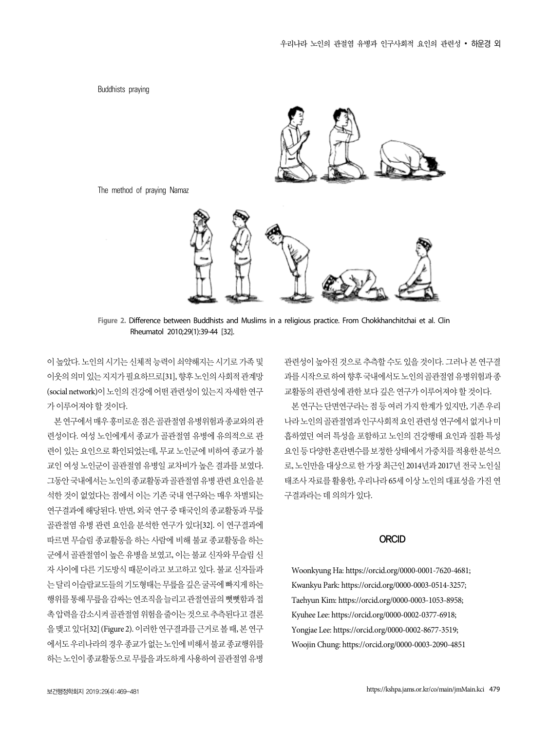Buddhists praying



The method of praying Namaz



**Figure 2.** Difference between Buddhists and Muslims in a religious practice. From Chokkhanchitchai et al. Clin Rheumatol 2010;29(1):39-44 [32].

이 높았다. 노인의 시기는 신체적 능력이 쇠약해지는 시기로 가족 및 이웃의 의미있는 지지가 필요하므로[31], 향후 노인의 사회적 관계망 (social network)이 노인의 건강에 어떤 관련성이 있는지 자세한 연구 가 이루어져야 할 것이다.

본 연구에서 매우 흥미로운 점은 골관절염 유병위험과 종교와의 관 련성이다. 여성 노인에게서 종교가 골관절염 유병에 유의적으로 관 련이 있는 요인으로 확인되었는데, 무교 노인군에 비하여 종교가 불 교인 여성 노인군이 골관절염 유병일 교차비가 높은 결과를 보였다. 그동안 국내에서는 노인의 종교활동과 골관절염 유병 관련 요인을 분 석한 것이 없었다는 점에서 이는 기존 국내 연구와는 매우 차별되는 연구결과에 해당된다. 반면, 외국 연구 중 태국인의 종교활동과 무릎 골관절염 유병 관련 요인을 분석한 연구가 있다[32]. 이 연구결과에 따르면 무슬림 종교활동을 하는 사람에 비해 불교 종교활동을 하는 군에서 골관절염이 높은 유병을 보였고, 이는 불교 신자와 무슬림 신 자 사이에 다른 기도방식 때문이라고 보고하고 있다. 불교 신자들과 는 달리 이슬람교도들의 기도형태는 무릎을 깊은 굴곡에 빠지게 하는 행위를 통해 무릎을 감싸는 연조직을 늘리고 관절연골의 뻣뻣함과 접 촉 압력을 감소시켜 골관절염 위험을 줄이는 것으로 추측된다고 결론 을 맺고 있다[32] (Figure 2). 이러한 연구결과를 근거로 볼 때, 본 연구 에서도 우리나라의 경우 종교가 없는 노인에 비해서 불교 종교행위를 하는 노인이 종교활동으로 무릎을 과도하게 사용하여 골관절염 유병 관련성이 높아진 것으로 추측할 수도 있을 것이다. 그러나 본 연구결 과를 시작으로 하여 향후 국내에서도 노인의 골관절염 유병위험과 종 교활동의 관련성에 관한 보다 깊은 연구가 이루어져야 할 것이다.

본 연구는 단면연구라는 점 등 여러 가지 한계가 있지만, 기존 우리 나라 노인의 골관절염과 인구사회적 요인 관련성 연구에서 없거나 미 흡하였던 여러 특성을 포함하고 노인의 건강행태 요인과 질환 특성 요인 등 다양한 혼란변수를 보정한 상태에서 가중치를 적용한 분석으 로, 노인만을 대상으로 한 가장 최근인 2014년과 2017년 전국 노인실 태조사 자료를 활용한, 우리나라 65세 이상 노인의 대표성을 가진 연 구결과라는 데 의의가 있다.

#### **ORCID**

Woonkyung Ha: https://orcid.org/0000-0001-7620-4681; Kwankyu Park: https://orcid.org/0000-0003-0514-3257; Taehyun Kim: https://orcid.org/0000-0003-1053-8958; Kyuhee Lee: https://orcid.org/0000-0002-0377-6918; Yongjae Lee: https://orcid.org/0000-0002-8677-3519; Woojin Chung: https://orcid.org/0000-0003-2090-4851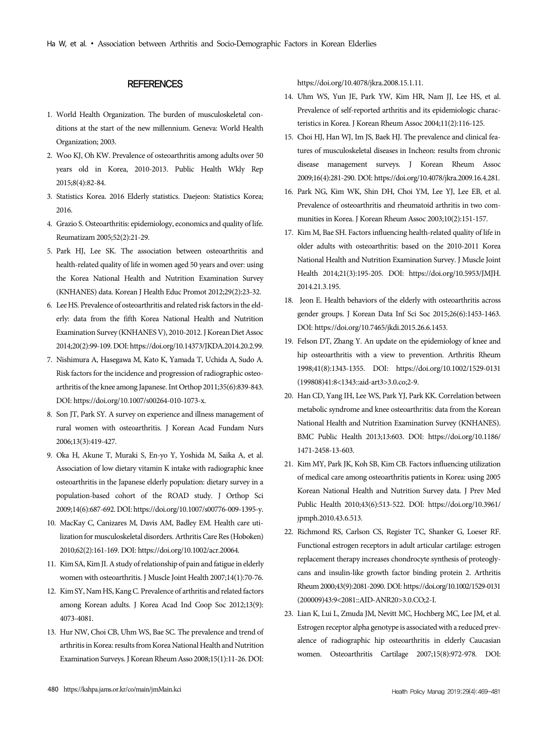#### **REFERENCES**

- 1. World Health Organization. The burden of musculoskeletal conditions at the start of the new millennium. Geneva: World Health Organization; 2003.
- 2. Woo KJ, Oh KW. Prevalence of osteoarthritis among adults over 50 years old in Korea, 2010-2013. Public Health Wkly Rep 2015;8(4):82-84.
- 3. Statistics Korea. 2016 Elderly statistics. Daejeon: Statistics Korea; 2016.
- 4. Grazio S. Osteoarthritis: epidemiology, economics and quality of life. Reumatizam 2005;52(2):21-29.
- 5. Park HJ, Lee SK. The association between osteoarthritis and health-related quality of life in women aged 50 years and over: using the Korea National Health and Nutrition Examination Survey (KNHANES) data. Korean J Health Educ Promot 2012;29(2):23-32.
- 6. Lee HS. Prevalence of osteoarthritis and related risk factors in the elderly: data from the fifth Korea National Health and Nutrition Examination Survey (KNHANES V), 2010-2012. J Korean Diet Assoc 2014;20(2):99-109. DOI: https://doi.org/10.14373/JKDA.2014.20.2.99.
- 7. Nishimura A, Hasegawa M, Kato K, Yamada T, Uchida A, Sudo A. Risk factors for the incidence and progression of radiographic osteoarthritis of the knee among Japanese. Int Orthop 2011;35(6):839-843. DOI: https://doi.org/10.1007/s00264-010-1073-x.
- 8. Son JT, Park SY. A survey on experience and illness management of rural women with osteoarthritis. J Korean Acad Fundam Nurs 2006;13(3):419-427.
- 9. Oka H, Akune T, Muraki S, En-yo Y, Yoshida M, Saika A, et al. Association of low dietary vitamin K intake with radiographic knee osteoarthritis in the Japanese elderly population: dietary survey in a population-based cohort of the ROAD study. J Orthop Sci 2009;14(6):687-692. DOI: https://doi.org/10.1007/s00776-009-1395-y.
- 10. MacKay C, Canizares M, Davis AM, Badley EM. Health care utilization for musculoskeletal disorders. Arthritis Care Res (Hoboken) 2010;62(2):161-169. DOI: https://doi.org/10.1002/acr.20064.
- 11. Kim SA, Kim JI. A study of relationship of pain and fatigue in elderly women with osteoarthritis. J Muscle Joint Health 2007;14(1):70-76.
- 12. Kim SY, Nam HS, Kang C. Prevalence of arthritis and related factors among Korean adults. J Korea Acad Ind Coop Soc 2012;13(9): 4073-4081.
- 13. Hur NW, Choi CB, Uhm WS, Bae SC. The prevalence and trend of arthritis in Korea: results from Korea National Health and Nutrition Examination Surveys. J Korean Rheum Asso 2008;15(1):11-26. DOI:

https://doi.org/10.4078/jkra.2008.15.1.11.

- 14. Uhm WS, Yun JE, Park YW, Kim HR, Nam JJ, Lee HS, et al. Prevalence of self-reported arthritis and its epidemiologic characteristics in Korea. J Korean Rheum Assoc 2004;11(2):116-125.
- 15. Choi HJ, Han WJ, Im JS, Baek HJ. The prevalence and clinical features of musculoskeletal diseases in Incheon: results from chronic disease management surveys. J Korean Rheum Assoc 2009;16(4):281-290. DOI: https://doi.org/10.4078/jkra.2009.16.4.281.
- 16. Park NG, Kim WK, Shin DH, Choi YM, Lee YJ, Lee EB, et al. Prevalence of osteoarthritis and rheumatoid arthritis in two communities in Korea. J Korean Rheum Assoc 2003;10(2):151-157.
- 17. Kim M, Bae SH. Factors influencing health-related quality of life in older adults with osteoarthritis: based on the 2010-2011 Korea National Health and Nutrition Examination Survey. J Muscle Joint Health 2014;21(3):195-205. DOI: https://doi.org/10.5953/JMJH. 2014.21.3.195.
- 18. Jeon E. Health behaviors of the elderly with osteoarthritis across gender groups. J Korean Data Inf Sci Soc 2015;26(6):1453-1463. DOI: https://doi.org/10.7465/jkdi.2015.26.6.1453.
- 19. Felson DT, Zhang Y. An update on the epidemiology of knee and hip osteoarthritis with a view to prevention. Arthritis Rheum 1998;41(8):1343-1355. DOI: https://doi.org/10.1002/1529-0131 (199808)41:8<1343::aid-art3>3.0.co;2-9.
- 20. Han CD, Yang IH, Lee WS, Park YJ, Park KK. Correlation between metabolic syndrome and knee osteoarthritis: data from the Korean National Health and Nutrition Examination Survey (KNHANES). BMC Public Health 2013;13:603. DOI: https://doi.org/10.1186/ 1471-2458-13-603.
- 21. Kim MY, Park JK, Koh SB, Kim CB. Factors influencing utilization of medical care among osteoarthritis patients in Korea: using 2005 Korean National Health and Nutrition Survey data. J Prev Med Public Health 2010;43(6):513-522. DOI: https://doi.org/10.3961/ jpmph.2010.43.6.513.
- 22. Richmond RS, Carlson CS, Register TC, Shanker G, Loeser RF. Functional estrogen receptors in adult articular cartilage: estrogen replacement therapy increases chondrocyte synthesis of proteoglycans and insulin-like growth factor binding protein 2. Arthritis Rheum 2000;43(9):2081-2090. DOI: https://doi.org/10.1002/1529-0131 (200009)43:9<2081::AID-ANR20>3.0.CO;2-I.
- 23. Lian K, Lui L, Zmuda JM, Nevitt MC, Hochberg MC, Lee JM, et al. Estrogen receptor alpha genotype is associated with a reduced prevalence of radiographic hip osteoarthritis in elderly Caucasian women. Osteoarthritis Cartilage 2007;15(8):972-978. DOI: